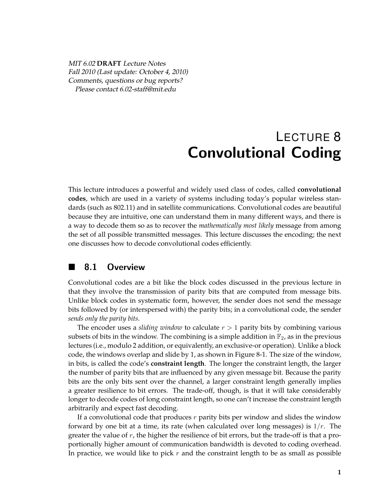*MIT 6.02* **DRAFT** *Lecture Notes Fall 2010 (Last update: October 4, 2010) Comments, questions or bug reports? Please contact 6.02-staff@mit.edu*

# LECTURE 8 Convolutional Coding

This lecture introduces a powerful and widely used class of codes, called **convolutional codes**, which are used in a variety of systems including today's popular wireless standards (such as 802.11) and in satellite communications. Convolutional codes are beautiful because they are intuitive, one can understand them in many different ways, and there is a way to decode them so as to recover the *mathematically most likely* message from among the set of all possible transmitted messages. This lecture discusses the encoding; the next one discusses how to decode convolutional codes efficiently.

# 8.1 Overview

Convolutional codes are a bit like the block codes discussed in the previous lecture in that they involve the transmission of parity bits that are computed from message bits. Unlike block codes in systematic form, however, the sender does not send the message bits followed by (or interspersed with) the parity bits; in a convolutional code, the sender *sends only the parity bits*.

The encoder uses a *sliding window* to calculate *r >* 1 parity bits by combining various subsets of bits in the window. The combining is a simple addition in  $\mathbb{F}_2$ , as in the previous lectures (i.e., modulo 2 addition, or equivalently, an exclusive-or operation). Unlike a block code, the windows overlap and slide by 1, as shown in Figure 8-1. The size of the window, in bits, is called the code's **constraint length**. The longer the constraint length, the larger the number of parity bits that are influenced by any given message bit. Because the parity bits are the only bits sent over the channel, a larger constraint length generally implies a greater resilience to bit errors. The trade-off, though, is that it will take considerably longer to decode codes of long constraint length, so one can't increase the constraint length arbitrarily and expect fast decoding.

If a convolutional code that produces *r* parity bits per window and slides the window forward by one bit at a time, its rate (when calculated over long messages) is 1*/r*. The greater the value of *r*, the higher the resilience of bit errors, but the trade-off is that a proportionally higher amount of communication bandwidth is devoted to coding overhead. In practice, we would like to pick *r* and the constraint length to be as small as possible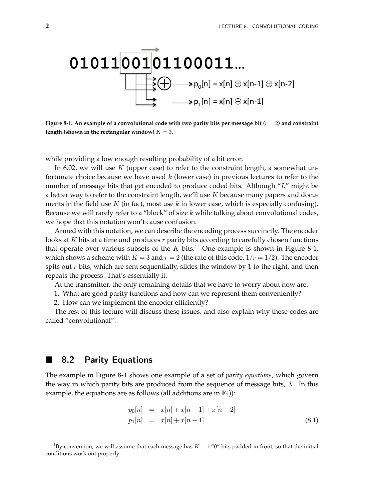

**Figure 8-1: An example of a convolutional code with two parity bits per message bit (***r* = 2**) and constraint** length (shown in the rectangular window)  $K = 3$ .

while providing a low enough resulting probability of a bit error.

In 6.02, we will use *K* (upper case) to refer to the constraint length, a somewhat unfortunate choice because we have used *k* (lower case) in previous lectures to refer to the number of message bits that get encoded to produce coded bits. Although "*L*" might be a better way to refer to the constraint length, we'll use *K* because many papers and documents in the field use *K* (in fact, most use *k* in lower case, which is especially confusing). Because we will rarely refer to a "block" of size *k* while talking about convolutional codes, we hope that this notation won't cause confusion.

Armed with this notation, we can describe the encoding process succinctly. The encoder looks at *K* bits at a time and produces *r* parity bits according to carefully chosen functions that operate over various subsets of the  $K$  bits.<sup>1</sup> One example is shown in Figure 8-1, which shows a scheme with  $K = 3$  and  $r = 2$  (the rate of this code,  $1/r = 1/2$ ). The encoder spits out *r* bits, which are sent sequentially, slides the window by 1 to the right, and then repeats the process. That's essentially it.

At the transmitter, the only remaining details that we have to worry about now are:

1. What are good parity functions and how can we represent them conveniently?

2. How can we implement the encoder efficiently?

The rest of this lecture will discuss these issues, and also explain why these codes are called "convolutional".

### **8.2 Parity Equations**

The example in Figure 8-1 shows one example of a set of *parity equations*, which govern the way in which parity bits are produced from the sequence of message bits, *X*. In this example, the equations are as follows (all additions are in  $\mathbb{F}_2$ )):

$$
p_0[n] = x[n] + x[n-1] + x[n-2]
$$
  
\n
$$
p_1[n] = x[n] + x[n-1]
$$
\n(8.1)

<sup>&</sup>lt;sup>1</sup>By convention, we will assume that each message has  $K - 1$  "0" bits padded in front, so that the initial conditions work out properly.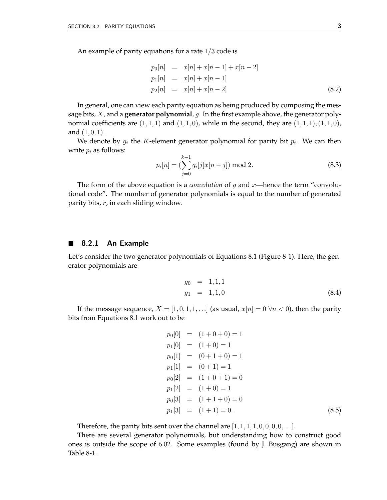An example of parity equations for a rate 1*/*3 code is

$$
p_0[n] = x[n] + x[n-1] + x[n-2]
$$
  
\n
$$
p_1[n] = x[n] + x[n-1]
$$
  
\n
$$
p_2[n] = x[n] + x[n-2]
$$
\n(8.2)

In general, one can view each parity equation as being produced by composing the message bits, *X*, and a **generator polynomial**, *g*. In the first example above, the generator polynomial coefficients are  $(1,1,1)$  and  $(1,1,0)$ , while in the second, they are  $(1,1,1)$ ,  $(1,1,0)$ , and (1*,* 0*,* 1).

We denote by  $g_i$  the *K*-element generator polynomial for parity bit  $p_i$ . We can then write  $p_i$  as follows:

$$
p_i[n] = \left(\sum_{j=0}^{k-1} g_i[j]x[n-j]\right) \text{ mod } 2. \tag{8.3}
$$

The form of the above equation is a *convolution* of *g* and *x*—hence the term "convolutional code". The number of generator polynomials is equal to the number of generated parity bits, *r*, in each sliding window.

#### $\blacksquare$  8.2.1 An Example

Let's consider the two generator polynomials of Equations 8.1 (Figure 8-1). Here, the generator polynomials are

$$
g_0 = 1, 1, 1
$$
  
\n
$$
g_1 = 1, 1, 0
$$
\n(8.4)

If the message sequence,  $X = [1, 0, 1, 1, \ldots]$  (as usual,  $x[n] = 0 \forall n < 0$ ), then the parity bits from Equations 8.1 work out to be

$$
p_0[0] = (1+0+0) = 1
$$
  
\n
$$
p_1[0] = (1+0) = 1
$$
  
\n
$$
p_0[1] = (0+1+0) = 1
$$
  
\n
$$
p_1[1] = (0+1) = 1
$$
  
\n
$$
p_0[2] = (1+0+1) = 0
$$
  
\n
$$
p_1[2] = (1+0) = 1
$$
  
\n
$$
p_0[3] = (1+1+0) = 0
$$
  
\n
$$
p_1[3] = (1+1) = 0.
$$
\n(8.5)

Therefore, the parity bits sent over the channel are  $[1, 1, 1, 1, 0, 0, 0, 0, \ldots]$ .

There are several generator polynomials, but understanding how to construct good ones is outside the scope of 6.02. Some examples (found by J. Busgang) are shown in Table 8-1.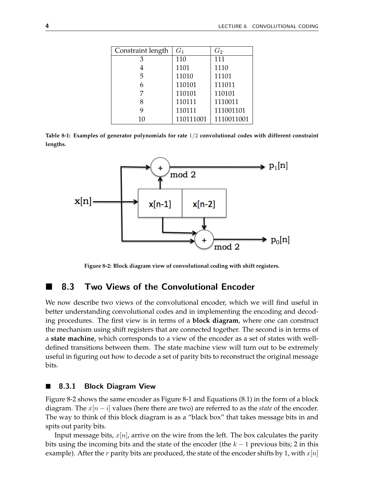| Constraint length | $G_1$     | $G_2$      |
|-------------------|-----------|------------|
| З                 | 110       | 111        |
| 4                 | 1101      | 1110       |
| 5                 | 11010     | 11101      |
| 6                 | 110101    | 111011     |
| 7                 | 110101    | 110101     |
| 8                 | 110111    | 1110011    |
| 9                 | 110111    | 111001101  |
| 10                | 110111001 | 1110011001 |

**Table 8-1: Examples of generator polynomials for rate** 1*/*2 **convolutional codes with different constraint lengths.**



**Figure 8-2: Block diagram view of convolutional coding with shift registers.**

# 8.3 Two Views of the Convolutional Encoder

We now describe two views of the convolutional encoder, which we will find useful in better understanding convolutional codes and in implementing the encoding and decoding procedures. The first view is in terms of a **block diagram**, where one can construct the mechanism using shift registers that are connected together. The second is in terms of a **state machine**, which corresponds to a view of the encoder as a set of states with welldefined transitions between them. The state machine view will turn out to be extremely useful in figuring out how to decode a set of parity bits to reconstruct the original message bits.

#### 8.3.1 Block Diagram View

Figure 8-2 shows the same encoder as Figure 8-1 and Equations (8.1) in the form of a block diagram. The  $x[n - i]$  values (here there are two) are referred to as the *state* of the encoder. The way to think of this block diagram is as a "black box" that takes message bits in and spits out parity bits.

Input message bits, *x*[*n*], arrive on the wire from the left. The box calculates the parity bits using the incoming bits and the state of the encoder (the *k* − 1 previous bits; 2 in this example). After the *r* parity bits are produced, the state of the encoder shifts by 1, with  $x[n]$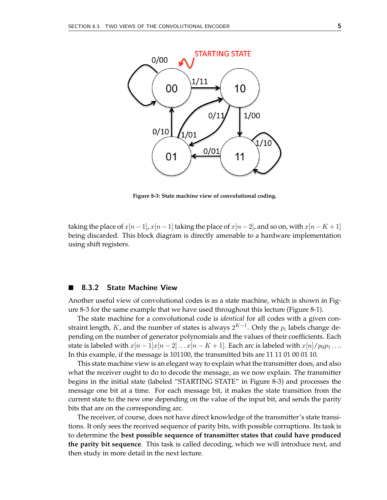![](_page_4_Figure_1.jpeg)

**Figure 8-3: State machine view of convolutional coding.**

taking the place of  $x[n-1]$ ,  $x[n-1]$  taking the place of  $x[n-2]$ , and so on, with  $x[n-K+1]$ being discarded. This block diagram is directly amenable to a hardware implementation using shift registers.

#### ■ 8.3.2 State Machine View

Another useful view of convolutional codes is as a state machine, which is shown in Figure 8-3 for the same example that we have used throughout this lecture (Figure 8-1).

The state machine for a convolutional code is *identical* for all codes with a given constraint length, *K*, and the number of states is always  $2^{K-1}$ . Only the  $p_i$  labels change depending on the number of generator polynomials and the values of their coefficients. Each state is labeled with  $x[n-1]x[n-2] \ldots x[n-K+1]$ . Each arc is labeled with  $x[n]/p_0p_1 \ldots$ In this example, if the message is 101100, the transmitted bits are 11 11 01 00 01 10.

This state machine view is an elegant way to explain what the transmitter does, and also what the receiver ought to do to decode the message, as we now explain. The transmitter begins in the initial state (labeled "STARTING STATE" in Figure 8-3) and processes the message one bit at a time. For each message bit, it makes the state transition from the current state to the new one depending on the value of the input bit, and sends the parity bits that are on the corresponding arc.

The receiver, of course, does not have direct knowledge of the transmitter's state transitions. It only sees the received sequence of parity bits, with possible corruptions. Its task is to determine the **best possible sequence of transmitter states that could have produced the parity bit sequence**. This task is called decoding, which we will introduce next, and then study in more detail in the next lecture.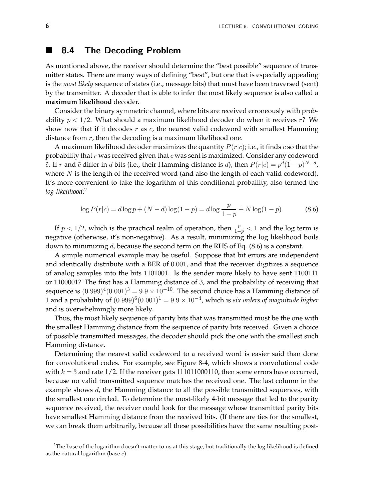## 8.4 The Decoding Problem

As mentioned above, the receiver should determine the "best possible" sequence of transmitter states. There are many ways of defining "best", but one that is especially appealing is the *most likely* sequence of states (i.e., message bits) that must have been traversed (sent) by the transmitter. A decoder that is able to infer the most likely sequence is also called a **maximum likelihood** decoder.

Consider the binary symmetric channel, where bits are received erroneously with probability *p <* 1*/*2. What should a maximum likelihood decoder do when it receives *r*? We show now that if it decodes *r* as *c*, the nearest valid codeword with smallest Hamming distance from *r*, then the decoding is a maximum likelihood one.

A maximum likelihood decoder maximizes the quantity *P*(*r*|*c*); i.e., it finds *c* so that the probability that *r* was received given that *c* was sent is maximized. Consider any codeword  $\tilde{c}$ . If *r* and  $\tilde{c}$  differ in *d* bits (i.e., their Hamming distance is *d*), then  $P(r|c) = p^d(1-p)^{N-d}$ , where *N* is the length of the received word (and also the length of each valid codeword). It's more convenient to take the logarithm of this conditional probaility, also termed the *log-likelihood*: 2

$$
\log P(r|\tilde{c}) = d\log p + (N - d)\log(1 - p) = d\log \frac{p}{1 - p} + N\log(1 - p). \tag{8.6}
$$

If  $p < 1/2$ , which is the practical realm of operation, then  $\frac{p}{1-p} < 1$  and the log term is negative (otherwise, it's non-negative). As a result, minimizing the log likelihood boils down to minimizing *d*, because the second term on the RHS of Eq. (8.6) is a constant.

A simple numerical example may be useful. Suppose that bit errors are independent and identically distribute with a BER of 0.001, and that the receiver digitizes a sequence of analog samples into the bits 1101001. Is the sender more likely to have sent 1100111 or 1100001? The first has a Hamming distance of 3, and the probability of receiving that sequence is  $(0.999)^4(0.001)^3 = 9.9 \times 10^{-10}$ . The second choice has a Hamming distance of 1 and a probability of  $(0.999)^6(0.001)^1 = 9.9 \times 10^{-4}$ , which is *six orders of magnitude higher* and is overwhelmingly more likely.

Thus, the most likely sequence of parity bits that was transmitted must be the one with the smallest Hamming distance from the sequence of parity bits received. Given a choice of possible transmitted messages, the decoder should pick the one with the smallest such Hamming distance.

Determining the nearest valid codeword to a received word is easier said than done for convolutional codes. For example, see Figure 8-4, which shows a convolutional code with  $k = 3$  and rate  $1/2$ . If the receiver gets 111011000110, then some errors have occurred, because no valid transmitted sequence matches the received one. The last column in the example shows *d*, the Hamming distance to all the possible transmitted sequences, with the smallest one circled. To determine the most-likely 4-bit message that led to the parity sequence received, the receiver could look for the message whose transmitted parity bits have smallest Hamming distance from the received bits. (If there are ties for the smallest, we can break them arbitrarily, because all these possibilities have the same resulting post-

<sup>&</sup>lt;sup>2</sup>The base of the logarithm doesn't matter to us at this stage, but traditionally the log likelihood is defined as the natural logarithm (base *e*).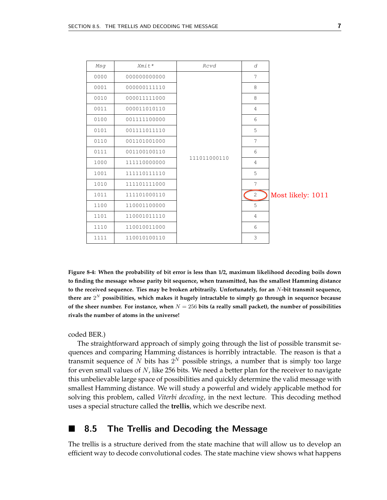| Msg  | $Xm$ it*     | Rcvd         | d              |                   |
|------|--------------|--------------|----------------|-------------------|
| 0000 | 000000000000 | 111011000110 | 7              |                   |
| 0001 | 000000111110 |              | 8              |                   |
| 0010 | 000011111000 |              | 8              |                   |
| 0011 | 000011010110 |              | $\overline{4}$ |                   |
| 0100 | 001111100000 |              | 6              |                   |
| 0101 | 001111011110 |              | 5              |                   |
| 0110 | 001101001000 |              | 7              |                   |
| 0111 | 001100100110 |              | 6              |                   |
| 1000 | 111110000000 |              | $\overline{4}$ |                   |
| 1001 | 111110111110 |              | 5              |                   |
| 1010 | 111101111000 |              | 7              |                   |
| 1011 | 111101000110 |              | 2              | Most likely: 1011 |
| 1100 | 110001100000 |              | 5              |                   |
| 1101 | 110001011110 |              | $\overline{4}$ |                   |
| 1110 | 110010011000 |              | 6              |                   |
| 1111 | 110010100110 |              | 3              |                   |

**Figure 8-4: When the probability of bit error is less than 1/2, maximum likelihood decoding boils down to finding the message whose parity bit sequence, when transmitted, has the smallest Hamming distance to the received sequence. Ties may be broken arbitrarily. Unfortunately, for an** *N***-bit transmit sequence, there are** 2*<sup>N</sup>* **possibilities, which makes it hugely intractable to simply go through in sequence because of the sheer number. For instance, when** *N* = 256 **bits (a really small packet), the number of possibilities rivals the number of atoms in the universe!**

coded BER.)

The straightforward approach of simply going through the list of possible transmit sequences and comparing Hamming distances is horribly intractable. The reason is that a transmit sequence of  $N$  bits has  $2^N$  possible strings, a number that is simply too large for even small values of *N*, like 256 bits. We need a better plan for the receiver to navigate this unbelievable large space of possibilities and quickly determine the valid message with smallest Hamming distance. We will study a powerful and widely applicable method for solving this problem, called *Viterbi decoding*, in the next lecture. This decoding method uses a special structure called the **trellis**, which we describe next.

#### 8.5 The Trellis and Decoding the Message

The trellis is a structure derived from the state machine that will allow us to develop an efficient way to decode convolutional codes. The state machine view shows what happens